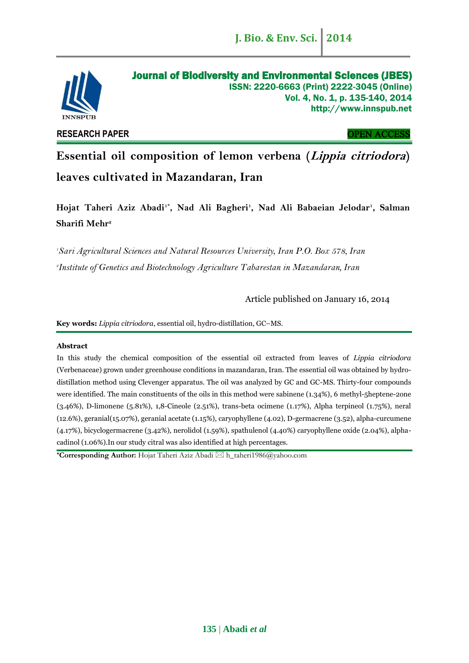

**RESEARCH PAPER** OPEN ACCESS

**Essential oil composition of lemon verbena (Lippia citriodora) leaves cultivated in Mazandaran, Iran**

**Hojat Taheri Aziz Abadi1\* , Nad Ali Bagheri<sup>1</sup> , Nad Ali Babaeian Jelodar<sup>1</sup> , Salman Sharifi Mehr<sup>2</sup>**

*<sup>1</sup>Sari Agricultural Sciences and Natural Resources University, Iran P.O. Box 578, Iran 2 Institute of Genetics and Biotechnology Agriculture Tabarestan in Mazandaran, Iran*

Article published on January 16, 2014

**Key words:** *Lippia citriodora,* essential oil, hydro-distillation, GC–MS.

# **Abstract**

In this study the chemical composition of the essential oil extracted from leaves of *Lippia citriodora* (Verbenaceae) grown under greenhouse conditions in mazandaran, Iran. The essential oil was obtained by hydrodistillation method using Clevenger apparatus. The oil was analyzed by GC and GC-MS. Thirty-four compounds were identified. The main constituents of the oils in this method were sabinene (1.34%), 6 methyl-5heptene-2one (3.46%), D-limonene (5.81%), 1,8-Cineole (2.51%), trans-beta ocimene (1.17%), Alpha terpineol (1.75%), neral (12.6%), geranial(15.07%), geranial acetate (1.15%), caryophyllene (4.02), D-germacrene (3.52), alpha-curcumene (4.17%), bicyclogermacrene (3.42%), nerolidol (1.59%), spathulenol (4.40%) caryophyllene oxide (2.04%), alphacadinol (1.06%).In our study citral was also identified at high percentages.

**\*Corresponding Author:** Hojat Taheri Aziz Abadi [h\\_taheri1986@yahoo.com](mailto:h_taheri1986@yahoo.com)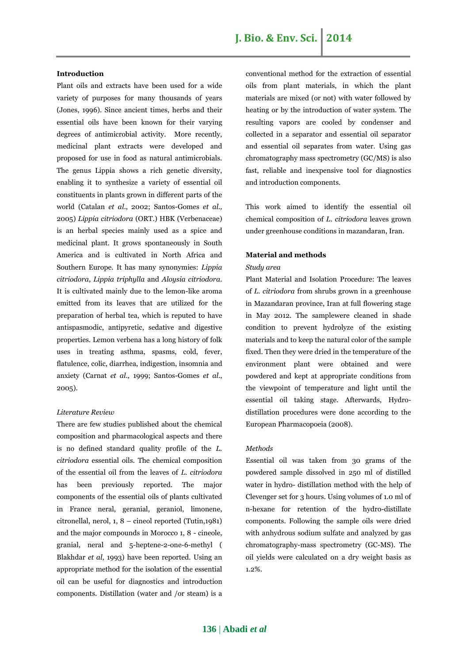# **J. Bio. & Env. Sci. 2014**

## **Introduction**

Plant oils and extracts have been used for a wide variety of purposes for many thousands of years (Jones, 1996). Since ancient times, herbs and their essential oils have been known for their varying degrees of antimicrobial activity. More recently, medicinal plant extracts were developed and proposed for use in food as natural antimicrobials. The genus Lippia shows a rich genetic diversity, enabling it to synthesize a variety of essential oil constituents in plants grown in different parts of the world (Catalan *et al*., 2002; Santos-Gomes *et al.,* 2005) *Lippia citriodora* (ORT.) HBK (Verbenaceae) is an herbal species mainly used as a spice and medicinal plant. It grows spontaneously in South America and is cultivated in North Africa and Southern Europe. It has many synonymies: *Lippia citriodora*, *Lippia triphylla* and *Aloysia citriodora*. It is cultivated mainly due to the lemon-like aroma emitted from its leaves that are utilized for the preparation of herbal tea, which is reputed to have antispasmodic, antipyretic, sedative and digestive properties. Lemon verbena has a long history of folk uses in treating asthma, spasms, cold, fever, flatulence, colic, diarrhea, indigestion, insomnia and anxiety (Carnat *et al.,* 1999; Santos-Gomes *et al*., 2005).

# *Literature Review*

There are few studies published about the chemical composition and pharmacological aspects and there is no defined standard quality profile of the *L. citriodora* essential oils. The chemical composition of the essential oil from the leaves of *L. citriodora* has been previously reported. The major components of the essential oils of plants cultivated in France neral, geranial, geraniol, limonene, citronellal, nerol, 1, 8 – cineol reported (Tutin,1981) and the major compounds in Morocco 1, 8 - cineole, granial, neral and 5-heptene-2-one-6-methyl ( Blakhdar *et al*, 1993) have been reported. Using an appropriate method for the isolation of the essential oil can be useful for diagnostics and introduction components. Distillation (water and /or steam) is a

conventional method for the extraction of essential oils from plant materials, in which the plant materials are mixed (or not) with water followed by heating or by the introduction of water system. The resulting vapors are cooled by condenser and collected in a separator and essential oil separator and essential oil separates from water. Using gas chromatography mass spectrometry (GC/MS) is also fast, reliable and inexpensive tool for diagnostics and introduction components.

This work aimed to identify the essential oil chemical composition of *L. citriodora* leaves grown under greenhouse conditions in mazandaran, Iran.

## **Material and methods**

#### *Study area*

Plant Material and Isolation Procedure: The leaves of *L. citriodora* from shrubs grown in a greenhouse in Mazandaran province, Iran at full flowering stage in May 2012. The samplewere cleaned in shade condition to prevent hydrolyze of the existing materials and to keep the natural color of the sample fixed. Then they were dried in the temperature of the environment plant were obtained and were powdered and kept at appropriate conditions from the viewpoint of temperature and light until the essential oil taking stage. Afterwards, Hydrodistillation procedures were done according to the European Pharmacopoeia (2008).

#### *Methods*

Essential oil was taken from 30 grams of the powdered sample dissolved in 250 ml of distilled water in hydro- distillation method with the help of Clevenger set for 3 hours. Using volumes of 1.0 ml of n-hexane for retention of the hydro-distillate components. Following the sample oils were dried with anhydrous sodium sulfate and analyzed by gas chromatography-mass spectrometry (GC-MS). The oil yields were calculated on a dry weight basis as 1.2%.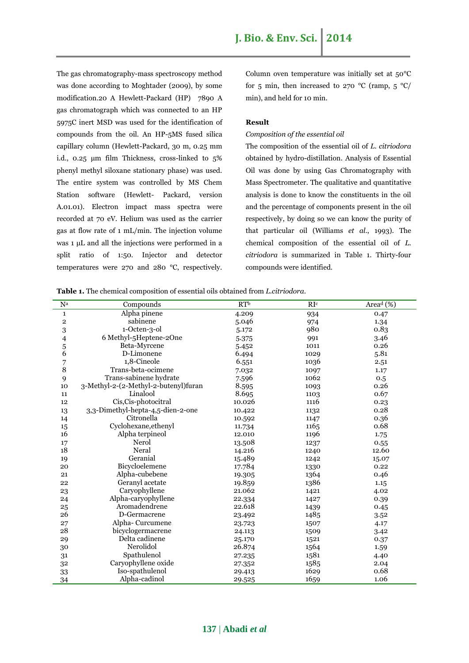The gas chromatography-mass spectroscopy method was done according to Moghtader (2009), by some modification.20 A Hewlett-Packard (HP) 7890 A gas chromatograph which was connected to an HP 5975C inert MSD was used for the identification of compounds from the oil. An HP-5MS fused silica capillary column (Hewlett-Packard, 30 m, 0.25 mm i.d., 0.25 μm film Thickness, cross-linked to 5% phenyl methyl siloxane stationary phase) was used. The entire system was controlled by MS Chem Station software (Hewlett- Packard, version A.01.01). Electron impact mass spectra were recorded at 70 eV. Helium was used as the carrier gas at flow rate of 1 mL/min. The injection volume was 1 μL and all the injections were performed in a split ratio of 1:50. Injector and detector temperatures were 270 and 280 °C, respectively.

Column oven temperature was initially set at 50°C for 5 min, then increased to 270 °C (ramp,  $5 \text{ °C}$ ) min), and held for 10 min.

## **Result**

## *Composition of the essential oil*

The composition of the essential oil of *L. citriodora* obtained by hydro-distillation. Analysis of Essential Oil was done by using Gas Chromatography with Mass Spectrometer. The qualitative and quantitative analysis is done to know the constituents in the oil and the percentage of components present in the oil respectively, by doing so we can know the purity of that particular oil (Williams *et al*., 1993). The chemical composition of the essential oil of *L. citriodora* is summarized in Table 1. Thirty-four compounds were identified.

**Table 1.** The chemical composition of essential oils obtained from *L.citriodora.*

| ${\bf N}^{\rm a}$       | Compounds                            | RT <sup>b</sup> | RI <sup>c</sup> | Area <sup>d</sup> (%) |
|-------------------------|--------------------------------------|-----------------|-----------------|-----------------------|
| $\mathbf 1$             | Alpha pinene                         | 4.209           | 934             | 0.47                  |
| $\overline{\mathbf{2}}$ | sabinene                             | 5.046           | 974             | 1.34                  |
| 3                       | 1-Octen-3-ol                         | 5.172           | 980             | 0.83                  |
| 4                       | 6 Methyl-5Heptene-2One               | 5.375           | 991             | 3.46                  |
| 5                       | Beta-Myrcene                         | 5.452           | 1011            | 0.26                  |
| 6                       | D-Limonene                           | 6.494           | 1029            | 5.81                  |
| 7                       | 1,8-Cineole                          | 6.551           | 1036            | 2.51                  |
| 8                       | Trans-beta-ocimene                   | 7.032           | 1097            | 1.17                  |
| 9                       | Trans-sabinene hydrate               | 7.596           | 1062            | 0.5                   |
| 10                      | 3-Methyl-2-(2-Methyl-2-butenyl)furan | 8.595           | 1093            | 0.26                  |
| 11                      | Linalool                             | 8.695           | 1103            | 0.67                  |
| 12                      | Cis, Cis-photocitral                 | 10.026          | 1116            | 0.23                  |
| 13                      | 3,3-Dimethyl-hepta-4,5-dien-2-one    | 10.422          | 1132            | 0.28                  |
| 14                      | Citronella                           | 10.592          | 1147            | 0.36                  |
| 15                      | Cyclohexane, ethenyl                 | 11.734          | 1165            | 0.68                  |
| 16                      | Alpha terpineol                      | 12.010          | 1196            | 1.75                  |
| 17                      | Nerol                                | 13.508          | 1237            | 0.55                  |
| 18                      | Neral                                | 14.216          | 1240            | 12.60                 |
| 19                      | Geranial                             | 15.489          | 1242            | 15.07                 |
| 20                      | Bicycloelemene                       | 17.784          | 1330            | 0.22                  |
| 21                      | Alpha-cubebene                       | 19.305          | 1364            | 0.46                  |
| 22                      | Geranyl acetate                      | 19.859          | 1386            | 1.15                  |
| 23                      | Caryophyllene                        | 21.062          | 1421            | 4.02                  |
| 24                      | Alpha-caryophyllene                  | 22.334          | 1427            | 0.39                  |
| 25                      | Aromadendrene                        | 22.618          | 1439            | 0.45                  |
| 26                      | D-Germacrene                         | 23.492          | 1485            | 3.52                  |
| 27                      | Alpha-Curcumene                      | 23.723          | 1507            | 4.17                  |
| 28                      | bicyclogermacrene                    | 24.113          | 1509            | 3.42                  |
| 29                      | Delta cadinene                       | 25.170          | 1521            | 0.37                  |
| 30                      | Nerolidol                            | 26.874          | 1564            | 1.59                  |
| 31                      | Spathulenol                          | 27.235          | 1581            | 4.40                  |
| 32                      | Caryophyllene oxide                  | 27.352          | 1585            | 2.04                  |
| 33                      | Iso-spathulenol                      | 29.413          | 1629            | 0.68                  |
| 34                      | Alpha-cadinol                        | 29.525          | 1659            | 1.06                  |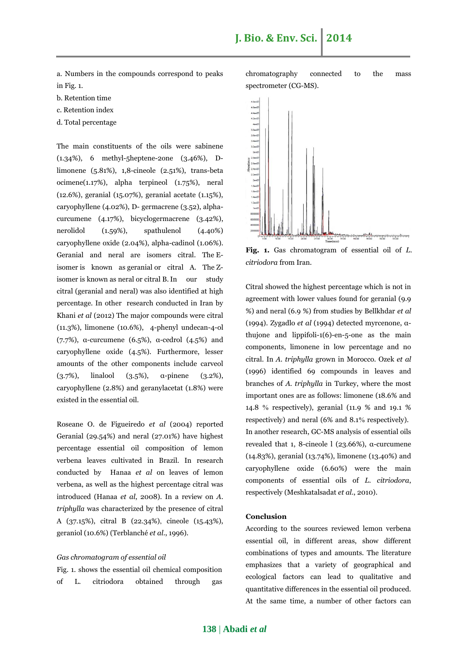a. Numbers in the compounds correspond to peaks in Fig. 1.

- b. Retention time
- c. Retention index
- d. Total percentage

The main constituents of the oils were sabinene (1.34%), 6 methyl-5heptene-2one (3.46%), Dlimonene (5.81%), 1,8-cineole (2.51%), trans-beta ocimene(1.17%), alpha terpineol (1.75%), neral (12.6%), geranial (15.07%), geranial acetate (1.15%), caryophyllene (4.02%), D- germacrene (3.52), alphacurcumene (4.17%), bicyclogermacrene (3.42%), nerolidol (1.59%), spathulenol (4.40%) caryophyllene oxide (2.04%), alpha-cadinol (1.06%). Geranial and neral are isomers citral. The [E](http://en.wikipedia.org/wiki/E-Z_notation)[isomer](http://en.wikipedia.org/wiki/E-Z_notation) is known as geranial or citral A. The [Z](http://en.wikipedia.org/wiki/E-Z_notation)[isomer](http://en.wikipedia.org/wiki/E-Z_notation) is known as neral or citral B.In our study citral (geranial and neral) was also identified at high percentage. In other research conducted in Iran by Khani *et al* (2012) The major compounds were citral (11.3%), limonene (10.6%), 4-phenyl undecan-4-ol (7.7%), α-curcumene (6.5%), α-cedrol (4.5%) and caryophyllene oxide (4.5%). Furthermore, lesser amounts of the other components include carveol (3.7%), linalool (3.5%), α-pinene (3.2%), caryophyllene (2.8%) and geranylacetat (1.8%) were existed in the essential oil.

Roseane O. de Figueiredo *et al* (2004) reported Geranial (29.54%) and neral (27.01%) have highest percentage essential oil composition of lemon verbena leaves cultivated in Brazil. In research conducted by Hanaa *et al* on leaves of lemon verbena, as well as the highest percentage citral was introduced (Hanaa *et al*, 2008). In a review on *A. triphylla* was characterized by the presence of citral A (37.15%), citral B (22.34%), cineole (15.43%), geraniol (10.6%) (Terblanché *et al*., 1996).

## *Gas chromatogram of essential oil*

Fig. 1. shows the essential oil chemical composition of L. citriodora obtained through gas chromatography connected to the mass spectrometer (CG-MS).



**Fig. 1.** Gas chromatogram of essential oil of *L. citriodora* from Iran.

Citral showed the highest percentage which is not in agreement with lower values found for geranial (9.9 %) and neral (6.9 %) from studies by Bellkhdar *et al* (1994). Zygadlo *et al* (1994) detected myrcenone, αthujone and lippifoli-1(6)-en-5-one as the main components, limonene in low percentage and no citral. In *A. triphylla* grown in Morocco. Ozek *et al* (1996) identified 69 compounds in leaves and branches of *A. triphylla* in Turkey, where the most important ones are as follows: limonene (18.6% and 14.8 % respectively), geranial (11.9 % and 19.1 % respectively) and neral (6% and 8.1% respectively). In another research, GC-MS analysis of essential oils revealed that 1, 8-cineole l (23.66%), α-curcumene (14.83%), geranial (13.74%), limonene (13.40%) and caryophyllene oxide (6.60%) were the main components of essential oils of *L. citriodora*, respectively (Meshkatalsadat *et al*., 2010).

### **Conclusion**

According to the sources reviewed lemon verbena essential oil, in different areas, show different combinations of types and amounts. The literature emphasizes that a variety of geographical and ecological factors can lead to qualitative and quantitative differences in the essential oil produced. At the same time, a number of other factors can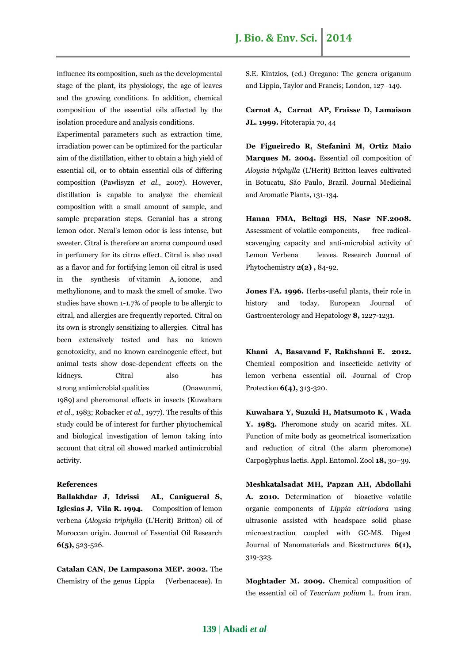influence its composition, such as the developmental stage of the plant, its physiology, the age of leaves and the growing conditions. In addition, chemical composition of the essential oils affected by the isolation procedure and analysis conditions.

Experimental parameters such as extraction time, irradiation power can be optimized for the particular aim of the distillation, either to obtain a high yield of essential oil, or to obtain essential oils of differing composition (Pawlisyzn *et al*., 2007). However, distillation is capable to analyze the chemical composition with a small amount of sample, and sample preparation steps. Geranial has a strong lemon odor. Neral's lemon odor is less intense, but sweeter. Citral is therefore an [aroma compound](http://en.wikipedia.org/wiki/Aroma_compound) used in perfumery for its citrus effect. Citral is also used as a flavor and for fortifying lemon oil citral is used in the synthesis of [vitamin A,](http://en.wikipedia.org/wiki/Vitamin_A) [ionone,](http://en.wikipedia.org/wiki/Ionone) and methylionone, and to mask the smell of smoke. Two studies have shown 1-1.7% of people to be allergic to citral, and allergies are frequently reported. Citral on its own is strongly sensitizing to allergies. Citral has been extensively tested and has no known genotoxicity, and no known carcinogenic effect, but animal tests show dose-dependent effects on the kidneys. Citral also has strong [antimicrobial](http://en.wikipedia.org/wiki/Antimicrobial) qualities (Onawunmi, 1989) and pheromonal effects in insects (Kuwahara *et al*., 1983; Robacker *et al*., 1977). The results of this study could be of interest for further phytochemical and biological investigation of lemon taking into account that citral oil showed marked antimicrobial activity.

# **References**

**Ballakhdar J, Idrissi AL, Canigueral S, Iglesias J, Vila R. 1994.** Composition of lemon verbena (*Aloysia triphylla* (L'Herit) Britton) oil of Moroccan origin. Journal of Essential Oil Research **6(5),** 523-526.

**Catalan CAN, De Lampasona MEP. 2002.** The Chemistry of the genus Lippia (Verbenaceae). In S.E. Kintzios, (ed.) Oregano: The genera origanum and Lippia, Taylor and Francis; London, 127–149.

**Carnat A, Carnat AP, Fraisse D, Lamaison JL. 1999.** Fitoterapia 70, 44

**De Figueiredo R, Stefanini M, Ortiz Maio Marques M. 2004.** Essential oil composition of *Aloysia triphylla* (L'Herit) Britton leaves cultivated in Botucatu, São Paulo, Brazil. Journal Medicinal and Aromatic Plants, 131-134.

**Hanaa FMA, Beltagi HS, Nasr NF.2008.** Assessment of volatile components, free radicalscavenging capacity and anti-microbial activity of Lemon Verbena leaves. Research Journal of Phytochemistry **2(2) ,** 84-92.

**Jones FA. 1996.** Herbs-useful plants, their role in history and today. European Journal of Gastroenterology and Hepatology **8,** 1227-1231.

**Khani A, Basavand F, Rakhshani E. 2012.** Chemical composition and insecticide activity of lemon verbena essential oil. Journal of Crop Protection **6(4),** 313-320.

**Kuwahara Y, Suzuki H, Matsumoto K , Wada Y. 1983.** Pheromone study on acarid mites. XI. Function of mite body as geometrical isomerization and reduction of citral (the alarm pheromone) Carpoglyphus lactis. Appl. Entomol. Zool **18,** 30–39.

**Meshkatalsadat MH, Papzan AH, Abdollahi A. 2010.** Determination of bioactive volatile organic components of *Lippia citriodora* using ultrasonic assisted with headspace solid phase microextraction coupled with GC-MS. Digest Journal of Nanomaterials and Biostructures **6(1),** 319-323.

**Moghtader M. 2009.** Chemical composition of the essential oil of *Teucrium polium* L. from iran.